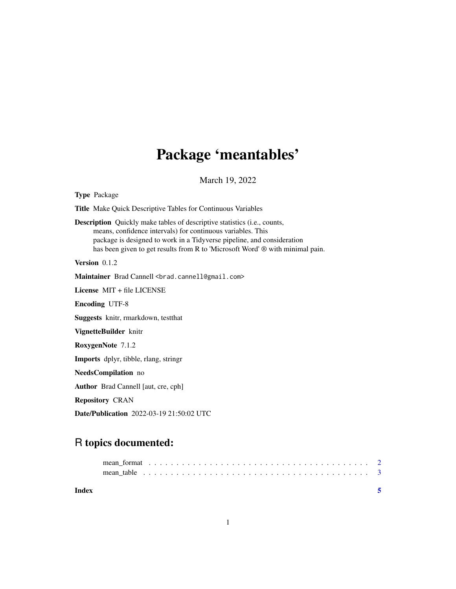# Package 'meantables'

March 19, 2022

| <b>Type Package</b>                                                                                                                                                                                                                                                                                       |
|-----------------------------------------------------------------------------------------------------------------------------------------------------------------------------------------------------------------------------------------------------------------------------------------------------------|
| Title Make Quick Descriptive Tables for Continuous Variables                                                                                                                                                                                                                                              |
| <b>Description</b> Quickly make tables of descriptive statistics (i.e., counts,<br>means, confidence intervals) for continuous variables. This<br>package is designed to work in a Tidyverse pipeline, and consideration<br>has been given to get results from R to 'Microsoft Word' ® with minimal pain. |
| Version 0.1.2                                                                                                                                                                                                                                                                                             |
| Maintainer Brad Cannell<br>brad.cannell@gmail.com>                                                                                                                                                                                                                                                        |
| License MIT + file LICENSE                                                                                                                                                                                                                                                                                |
| <b>Encoding UTF-8</b>                                                                                                                                                                                                                                                                                     |
| Suggests knitr, rmarkdown, test that                                                                                                                                                                                                                                                                      |
| VignetteBuilder knitr                                                                                                                                                                                                                                                                                     |
| RoxygenNote 7.1.2                                                                                                                                                                                                                                                                                         |
| <b>Imports</b> dplyr, tibble, rlang, stringr                                                                                                                                                                                                                                                              |
| NeedsCompilation no                                                                                                                                                                                                                                                                                       |
| <b>Author</b> Brad Cannell [aut, cre, cph]                                                                                                                                                                                                                                                                |
| <b>Repository CRAN</b>                                                                                                                                                                                                                                                                                    |
| <b>Date/Publication</b> 2022-03-19 21:50:02 UTC                                                                                                                                                                                                                                                           |

# R topics documented:

| Index |  |  |  |  |  |  |  |  |  |  |  |  |  |  |  |  |  |  |  |  |
|-------|--|--|--|--|--|--|--|--|--|--|--|--|--|--|--|--|--|--|--|--|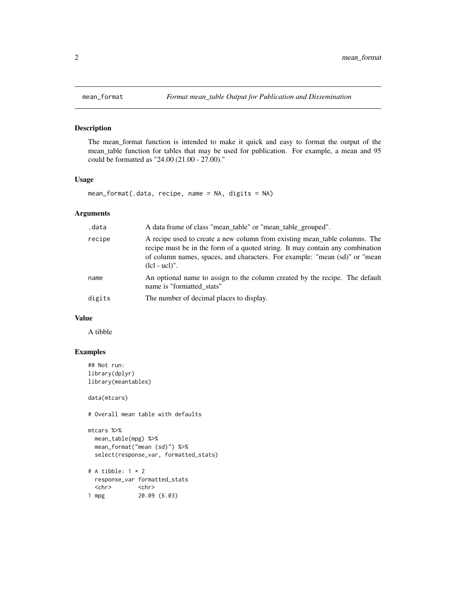# Description

The mean\_format function is intended to make it quick and easy to format the output of the mean\_table function for tables that may be used for publication. For example, a mean and 95 could be formatted as "24.00 (21.00 - 27.00)."

#### Usage

```
mean_format(.data, recipe, name = NA, digits = NA)
```
### Arguments

| .data  | A data frame of class "mean_table" or "mean_table_grouped".                                                                                                                                                                                                   |
|--------|---------------------------------------------------------------------------------------------------------------------------------------------------------------------------------------------------------------------------------------------------------------|
| recipe | A recipe used to create a new column from existing mean_table columns. The<br>recipe must be in the form of a quoted string. It may contain any combination<br>of column names, spaces, and characters. For example: "mean (sd)" or "mean<br>$(lcl - ucl)$ ". |
| name   | An optional name to assign to the column created by the recipe. The default<br>name is "formatted stats"                                                                                                                                                      |
| digits | The number of decimal places to display.                                                                                                                                                                                                                      |

#### Value

A tibble

# Examples

```
## Not run:
library(dplyr)
library(meantables)
data(mtcars)
# Overall mean table with defaults
mtcars %>%
 mean_table(mpg) %>%
 mean_format("mean (sd)") %>%
 select(response_var, formatted_stats)
# A tibble: 1 × 2
 response_var formatted_stats
 <chr> <chr>
1 mpg 20.09 (6.03)
```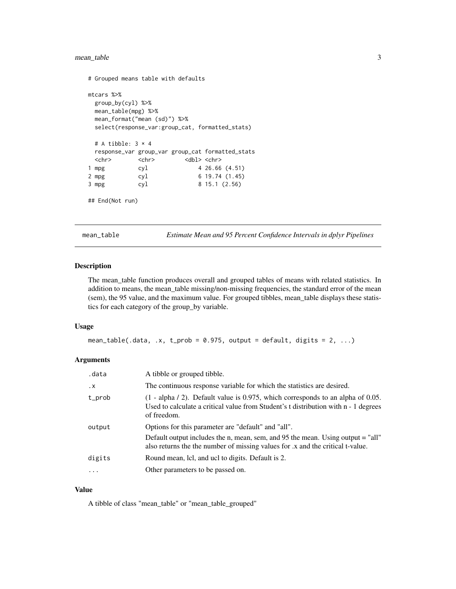# <span id="page-2-0"></span>mean\_table 3

```
# Grouped means table with defaults
mtcars %>%
 group_by(cyl) %>%
 mean_table(mpg) %>%
 mean_format("mean (sd)") %>%
 select(response_var:group_cat, formatted_stats)
 # A tibble: 3 × 4
 response_var group_var group_cat formatted_stats
 <chr> <chr> <chr> <chr> <chr> <dbl> <chr>
1 mpg cyl 4 26.66 (4.51)
2 mpg cyl 6 19.74 (1.45)
3 mpg cyl 8 15.1 (2.56)
## End(Not run)
```
mean\_table *Estimate Mean and 95 Percent Confidence Intervals in dplyr Pipelines*

# Description

The mean\_table function produces overall and grouped tables of means with related statistics. In addition to means, the mean\_table missing/non-missing frequencies, the standard error of the mean (sem), the 95 value, and the maximum value. For grouped tibbles, mean\_table displays these statistics for each category of the group\_by variable.

#### Usage

mean\_table(.data, .x, t\_prob = 0.975, output = default, digits = 2, ...)

### Arguments

| .data     | A tibble or grouped tibble.                                                                                                                                                                                             |
|-----------|-------------------------------------------------------------------------------------------------------------------------------------------------------------------------------------------------------------------------|
| $\cdot$ X | The continuous response variable for which the statistics are desired.                                                                                                                                                  |
| t_prob    | $(1 - alpha / 2)$ . Default value is 0.975, which corresponds to an alpha of 0.05.<br>Used to calculate a critical value from Student's t distribution with n - 1 degrees<br>of freedom.                                |
| output    | Options for this parameter are "default" and "all".<br>Default output includes the n, mean, sem, and 95 the mean. Using output = "all"<br>also returns the the number of missing values for x and the critical t-value. |
| digits    | Round mean, lcl, and ucl to digits. Default is 2.                                                                                                                                                                       |
| $\cdots$  | Other parameters to be passed on.                                                                                                                                                                                       |

#### Value

A tibble of class "mean\_table" or "mean\_table\_grouped"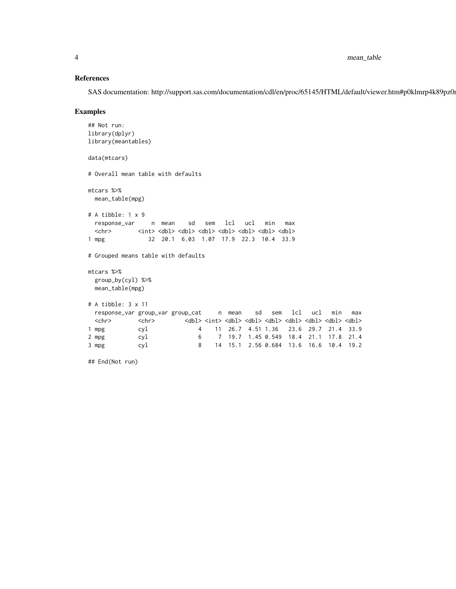#### References

SAS documentation: http://support.sas.com/documentation/cdl/en/proc/65145/HTML/default/viewer.htm#p0klmrp4k89pz0i

#### Examples

```
## Not run:
library(dplyr)
library(meantables)
data(mtcars)
# Overall mean table with defaults
mtcars %>%
 mean_table(mpg)
# A tibble: 1 x 9
 response_var n mean sd sem lcl ucl min max
 <chr> <int><dbl> <dbl> <dbl> <dbl> <dbl> <dbl> <dbl>
1 mpg 32 20.1 6.03 1.07 17.9 22.3 10.4 33.9
# Grouped means table with defaults
mtcars %>%
 group_by(cyl) %>%
 mean_table(mpg)
# A tibble: 3 x 11
 response_var group_var group_cat n mean sd sem lcl ucl min max
 <chr> <chr> <chr> <dbl> <dbl> <dbl> <dbl> <dbl> <dbl> <dbl> <dbl> <dbl> <dbl> <dbl> <dbl>
1 mpg cyl 4 11 26.7 4.51 1.36 23.6 29.7 21.4 33.9
2 mpg cyl 6 7 19.7 1.45 0.549 18.4 21.1 17.8 21.4
3 mpg cyl 8 14 15.1 2.56 0.684 13.6 16.6 10.4 19.2
```
## End(Not run)